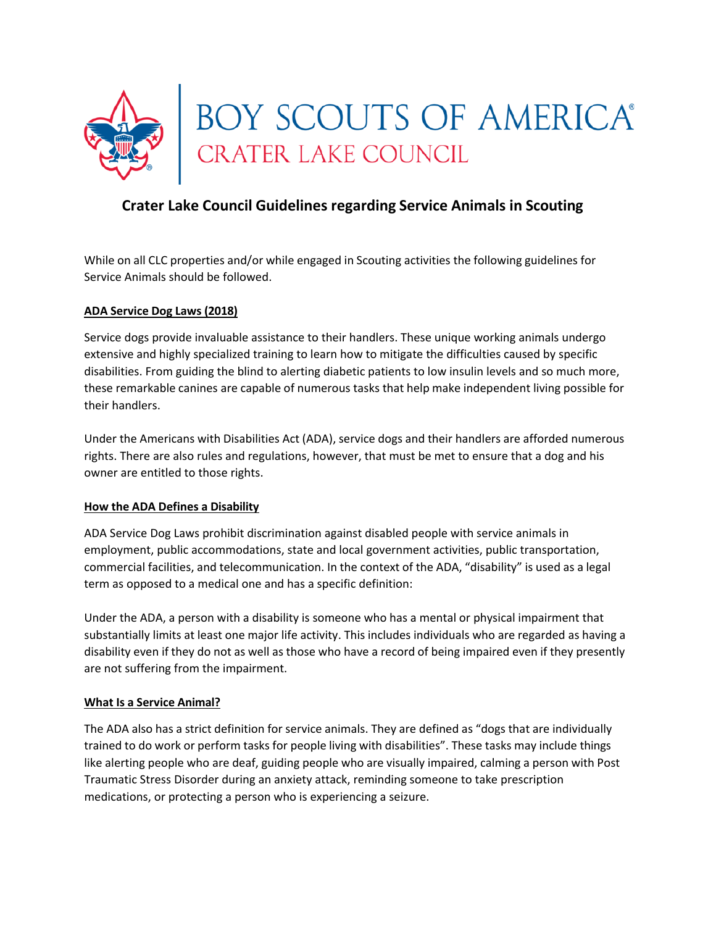

# **Crater Lake Council Guidelines regarding Service Animals in Scouting**

While on all CLC properties and/or while engaged in Scouting activities the following guidelines for Service Animals should be followed.

## **ADA Service Dog Laws (2018)**

Service dogs provide invaluable assistance to their handlers. These unique working animals undergo extensive and highly specialized training to learn how to mitigate the difficulties caused by specific disabilities. From guiding the blind to alerting diabetic patients to low insulin levels and so much more, these remarkable canines are capable of numerous tasks that help make independent living possible for their handlers.

Under the Americans with Disabilities Act (ADA), service dogs and their handlers are afforded numerous rights. There are also rules and regulations, however, that must be met to ensure that a dog and his owner are entitled to those rights.

#### **How the ADA Defines a Disability**

ADA Service Dog Laws prohibit discrimination against disabled people with service animals in employment, public accommodations, state and local government activities, public transportation, commercial facilities, and telecommunication. In the context of the ADA, "disability" is used as a legal term as opposed to a medical one and has a specific definition:

Under the ADA, a person with a disability is someone who has a mental or physical impairment that substantially limits at least one major life activity. This includes individuals who are regarded as having a disability even if they do not as well as those who have a record of being impaired even if they presently are not suffering from the impairment.

#### **What Is a Service Animal?**

The ADA also has a strict definition for service animals. They are defined as "dogs that are individually trained to do work or perform tasks for people living with disabilities". These tasks may include things like alerting people who are deaf, guiding people who are visually impaired, calming a person with Post Traumatic Stress Disorder during an anxiety attack, reminding someone to take prescription medications, or protecting a person who is experiencing a seizure.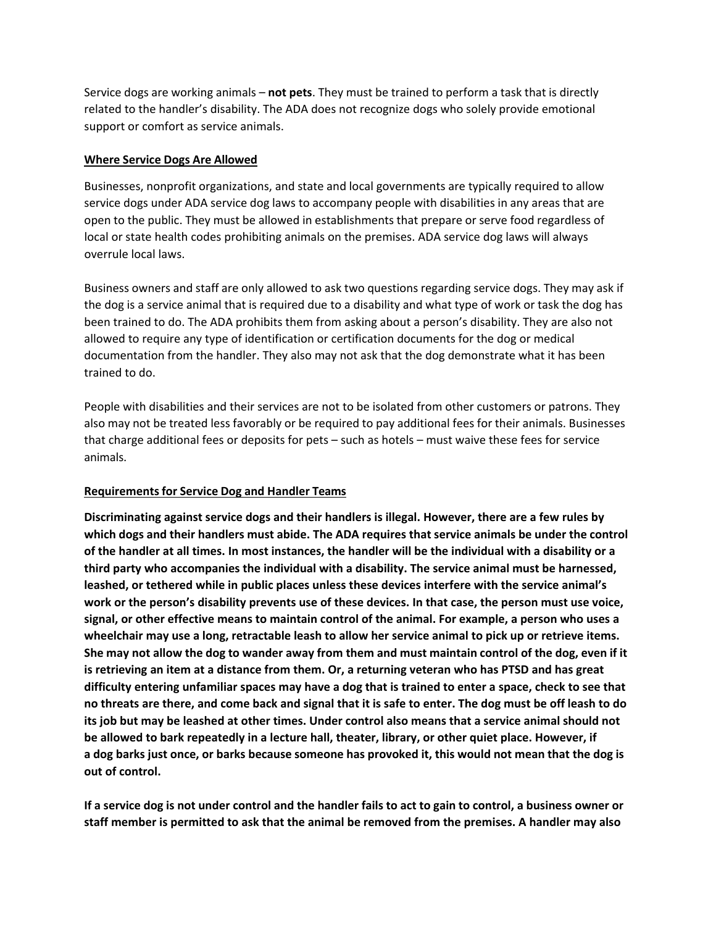Service dogs are working animals – **not pets**. They must be trained to perform a task that is directly related to the handler's disability. The ADA does not recognize dogs who solely provide emotional support or comfort as service animals.

### **Where Service Dogs Are Allowed**

Businesses, nonprofit organizations, and state and local governments are typically required to allow service dogs under ADA service dog laws to accompany people with disabilities in any areas that are open to the public. They must be allowed in establishments that prepare or serve food regardless of local or state health codes prohibiting animals on the premises. ADA service dog laws will always overrule local laws.

Business owners and staff are only allowed to ask two questions regarding service dogs. They may ask if the dog is a service animal that is required due to a disability and what type of work or task the dog has been trained to do. The ADA prohibits them from asking about a person's disability. They are also not allowed to require any type of identification or certification documents for the dog or medical documentation from the handler. They also may not ask that the dog demonstrate what it has been trained to do.

People with disabilities and their services are not to be isolated from other customers or patrons. They also may not be treated less favorably or be required to pay additional fees for their animals. Businesses that charge additional fees or deposits for pets – such as hotels – must waive these fees for service animals.

## **Requirementsfor Service Dog and Handler Teams**

**Discriminating against service dogs and their handlers is illegal. However, there are a few rules by which dogs and their handlers must abide. The ADA requires that service animals be under the control of the handler at all times. In most instances, the handler will be the individual with a disability or a third party who accompanies the individual with a disability. The service animal must be harnessed, leashed, or tethered while in public places unless these devices interfere with the service animal's work or the person's disability prevents use of these devices. In that case, the person must use voice, signal, or other effective means to maintain control of the animal. For example, a person who uses a wheelchair may use a long, retractable leash to allow her service animal to pick up or retrieve items.**  She may not allow the dog to wander away from them and must maintain control of the dog, even if it **is retrieving an item at a distance from them. Or, a returning veteran who has PTSD and has great difficulty entering unfamiliar spaces may have a dog that is trained to enter a space, check to see that no threats are there, and come back and signal that it is safe to enter. The dog must be off leash to do its job but may be leashed at other times. Under control also means that a service animal should not be allowed to bark repeatedly in a lecture hall, theater, library, or other quiet place. However, if** a dog barks just once, or barks because someone has provoked it, this would not mean that the dog is **out of control.**

If a service dog is not under control and the handler fails to act to gain to control, a business owner or **staff member is permitted to ask that the animal be removed from the premises. A handler may also**